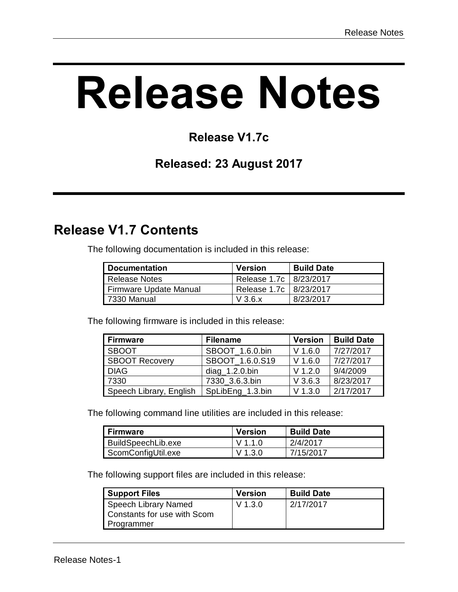# **Release Notes**

#### **Release V1.7c**

#### **Released: 23 August 2017**

# **Release V1.7 Contents**

The following documentation is included in this release:

| Documentation          | <b>Version</b>           | <b>Build Date</b> |
|------------------------|--------------------------|-------------------|
| Release Notes          | Release 1.7c   8/23/2017 |                   |
| Firmware Update Manual | Release 1.7c   8/23/2017 |                   |
| 7330 Manual            | $V$ 3.6. $x$             | 8/23/2017         |

The following firmware is included in this release:

| <b>Firmware</b>         | <b>Filename</b>   | <b>Version</b> | <b>Build Date</b>  |
|-------------------------|-------------------|----------------|--------------------|
| <b>SBOOT</b>            | SBOOT 1.6.0.bin   | $V$ 1.6.0      | 7/27/2017          |
| <b>SBOOT Recovery</b>   | SBOOT 1.6.0.S19   | $V$ 1.6.0      | 7/27/2017          |
| <b>DIAG</b>             | $diag_1.2.0$ .bin | $V$ 1.2.0      | 9/4/2009           |
| 7330                    | 7330 3.6.3.bin    | $V$ 3.6.3      | 8/23/2017          |
| Speech Library, English | SpLibEng_1.3.bin  | $V$ 1.3.0      | $\sqrt{2/17/2017}$ |

The following command line utilities are included in this release:

| Firmware           | <b>Version</b> | <b>Build Date</b> |
|--------------------|----------------|-------------------|
| BuildSpeechLib.exe | V 1 1 0        | 2/4/2017          |
| ScomConfigUtil.exe | V 1.3.0        | 7/15/2017         |

The following support files are included in this release:

| <b>Support Files</b>                                              | <b>Version</b> | <b>Build Date</b> |
|-------------------------------------------------------------------|----------------|-------------------|
| Speech Library Named<br>Constants for use with Scom<br>Programmer | $V$ 1.3.0      | 2/17/2017         |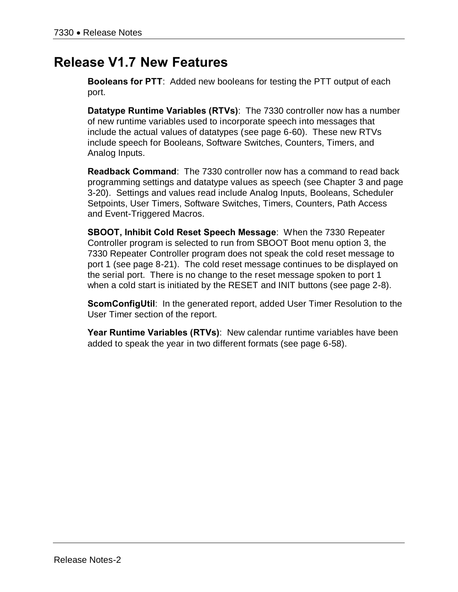## **Release V1.7 New Features**

**Booleans for PTT**: Added new booleans for testing the PTT output of each port.

**Datatype Runtime Variables (RTVs)**: The 7330 controller now has a number of new runtime variables used to incorporate speech into messages that include the actual values of datatypes (see page 6-60). These new RTVs include speech for Booleans, Software Switches, Counters, Timers, and Analog Inputs.

**Readback Command**: The 7330 controller now has a command to read back programming settings and datatype values as speech (see Chapter 3 and page 3-20). Settings and values read include Analog Inputs, Booleans, Scheduler Setpoints, User Timers, Software Switches, Timers, Counters, Path Access and Event-Triggered Macros.

**SBOOT, Inhibit Cold Reset Speech Message**: When the 7330 Repeater Controller program is selected to run from SBOOT Boot menu option 3, the 7330 Repeater Controller program does not speak the cold reset message to port 1 (see page 8-21). The cold reset message continues to be displayed on the serial port. There is no change to the reset message spoken to port 1 when a cold start is initiated by the RESET and INIT buttons (see page 2-8).

**ScomConfigUtil**: In the generated report, added User Timer Resolution to the User Timer section of the report.

**Year Runtime Variables (RTVs)**: New calendar runtime variables have been added to speak the year in two different formats (see page 6-58).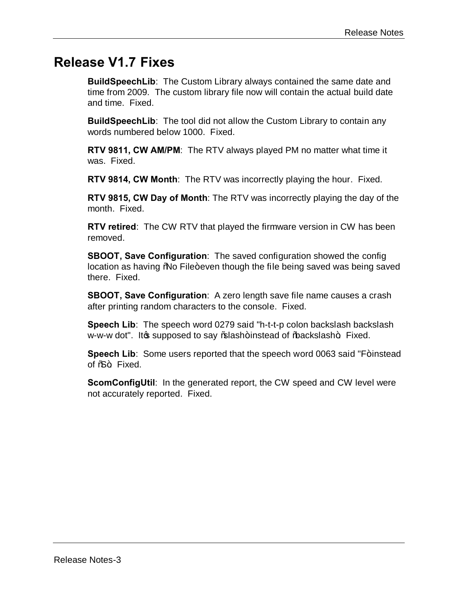#### **Release V1.7 Fixes**

**BuildSpeechLib**: The Custom Library always contained the same date and time from 2009. The custom library file now will contain the actual build date and time. Fixed.

**BuildSpeechLib**: The tool did not allow the Custom Library to contain any words numbered below 1000. Fixed.

**RTV 9811, CW AM/PM**: The RTV always played PM no matter what time it was. Fixed.

**RTV 9814, CW Month**: The RTV was incorrectly playing the hour. Fixed.

**RTV 9815, CW Day of Month**: The RTV was incorrectly playing the day of the month. Fixed.

**RTV retired**: The CW RTV that played the firmware version in CW has been removed.

**SBOOT, Save Configuration**: The saved configuration showed the config location as having "No File+even though the file being saved was being saved there. Fixed.

**SBOOT, Save Configuration**: A zero length save file name causes a crash after printing random characters to the console. Fixed.

**Speech Lib**: The speech word 0279 said "h-t-t-p colon backslash backslash w-w-w dot". It we supposed to say % ash+instead of % backslash+. Fixed.

**Speech Lib**: Some users reported that the speech word 0063 said "F+instead of  $%+$  Fixed.

**ScomConfigUtil**: In the generated report, the CW speed and CW level were not accurately reported. Fixed.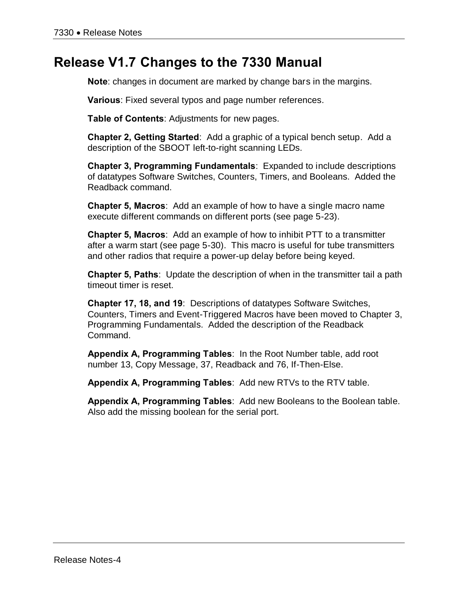#### **Release V1.7 Changes to the 7330 Manual**

**Note**: changes in document are marked by change bars in the margins.

**Various**: Fixed several typos and page number references.

**Table of Contents**: Adjustments for new pages.

**Chapter 2, Getting Started**: Add a graphic of a typical bench setup. Add a description of the SBOOT left-to-right scanning LEDs.

**Chapter 3, Programming Fundamentals**: Expanded to include descriptions of datatypes Software Switches, Counters, Timers, and Booleans. Added the Readback command.

**Chapter 5, Macros**: Add an example of how to have a single macro name execute different commands on different ports (see page 5-23).

**Chapter 5, Macros**: Add an example of how to inhibit PTT to a transmitter after a warm start (see page 5-30). This macro is useful for tube transmitters and other radios that require a power-up delay before being keyed.

**Chapter 5, Paths**: Update the description of when in the transmitter tail a path timeout timer is reset.

**Chapter 17, 18, and 19**: Descriptions of datatypes Software Switches, Counters, Timers and Event-Triggered Macros have been moved to Chapter 3, Programming Fundamentals. Added the description of the Readback Command.

**Appendix A, Programming Tables**: In the Root Number table, add root number 13, Copy Message, 37, Readback and 76, If-Then-Else.

**Appendix A, Programming Tables**: Add new RTVs to the RTV table.

**Appendix A, Programming Tables**: Add new Booleans to the Boolean table. Also add the missing boolean for the serial port.